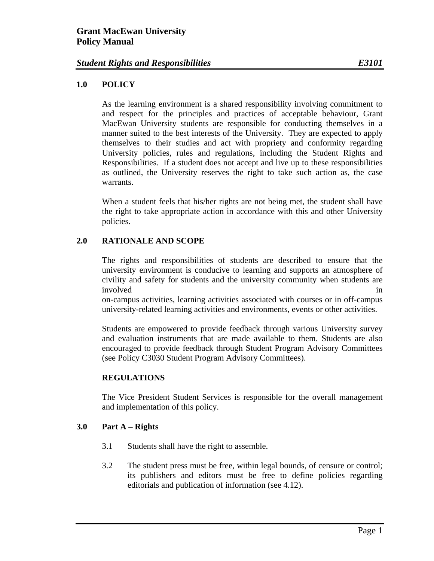### **1.0 POLICY**

 As the learning environment is a shared responsibility involving commitment to and respect for the principles and practices of acceptable behaviour, Grant MacEwan University students are responsible for conducting themselves in a manner suited to the best interests of the University. They are expected to apply themselves to their studies and act with propriety and conformity regarding University policies, rules and regulations, including the Student Rights and Responsibilities. If a student does not accept and live up to these responsibilities as outlined, the University reserves the right to take such action as, the case warrants.

 When a student feels that his/her rights are not being met, the student shall have the right to take appropriate action in accordance with this and other University policies.

## **2.0 RATIONALE AND SCOPE**

The rights and responsibilities of students are described to ensure that the university environment is conducive to learning and supports an atmosphere of civility and safety for students and the university community when students are involved in the set of the set of the set of the set of the set of the set of the set of the set of the set of the set of the set of the set of the set of the set of the set of the set of the set of the set of the set of t

on-campus activities, learning activities associated with courses or in off-campus university-related learning activities and environments, events or other activities.

Students are empowered to provide feedback through various University survey and evaluation instruments that are made available to them. Students are also encouraged to provide feedback through Student Program Advisory Committees (see Policy C3030 Student Program Advisory Committees).

#### **REGULATIONS**

 The Vice President Student Services is responsible for the overall management and implementation of this policy.

## **3.0 Part A – Rights**

- 3.1 Students shall have the right to assemble.
- 3.2 The student press must be free, within legal bounds, of censure or control; its publishers and editors must be free to define policies regarding editorials and publication of information (see 4.12).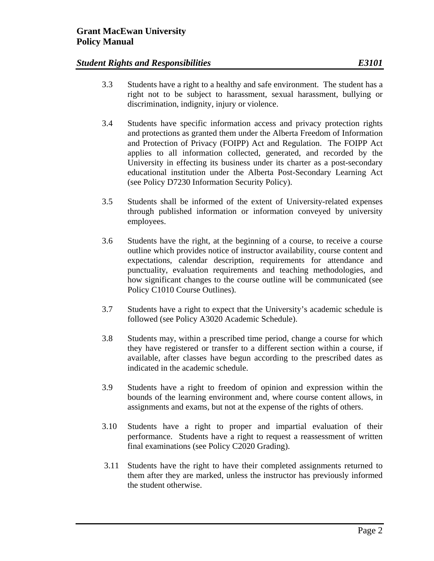- 3.3 Students have a right to a healthy and safe environment. The student has a right not to be subject to harassment, sexual harassment, bullying or discrimination, indignity, injury or violence.
- 3.4 Students have specific information access and privacy protection rights and protections as granted them under the Alberta Freedom of Information and Protection of Privacy (FOIPP) Act and Regulation. The FOIPP Act applies to all information collected, generated, and recorded by the University in effecting its business under its charter as a post-secondary educational institution under the Alberta Post-Secondary Learning Act (see Policy D7230 Information Security Policy).
- 3.5 Students shall be informed of the extent of University-related expenses through published information or information conveyed by university employees.
- 3.6 Students have the right, at the beginning of a course, to receive a course outline which provides notice of instructor availability, course content and expectations, calendar description, requirements for attendance and punctuality, evaluation requirements and teaching methodologies, and how significant changes to the course outline will be communicated (see Policy C1010 Course Outlines).
- 3.7 Students have a right to expect that the University's academic schedule is followed (see Policy A3020 Academic Schedule).
- 3.8 Students may, within a prescribed time period, change a course for which they have registered or transfer to a different section within a course, if available, after classes have begun according to the prescribed dates as indicated in the academic schedule.
- 3.9 Students have a right to freedom of opinion and expression within the bounds of the learning environment and, where course content allows, in assignments and exams, but not at the expense of the rights of others.
- 3.10 Students have a right to proper and impartial evaluation of their performance. Students have a right to request a reassessment of written final examinations (see Policy C2020 Grading).
- 3.11 Students have the right to have their completed assignments returned to them after they are marked, unless the instructor has previously informed the student otherwise.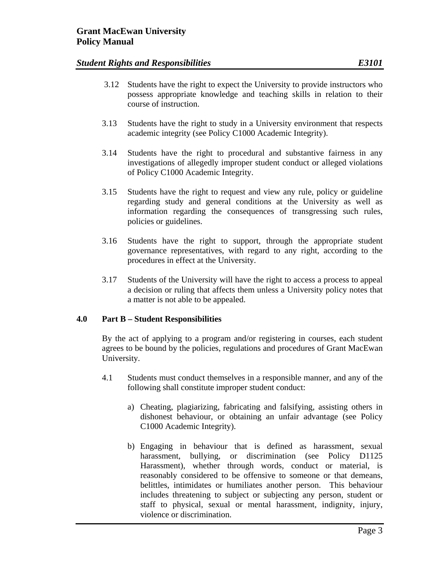- 3.12 Students have the right to expect the University to provide instructors who possess appropriate knowledge and teaching skills in relation to their course of instruction.
- 3.13 Students have the right to study in a University environment that respects academic integrity (see Policy C1000 Academic Integrity).
- 3.14 Students have the right to procedural and substantive fairness in any investigations of allegedly improper student conduct or alleged violations of Policy C1000 Academic Integrity.
- 3.15 Students have the right to request and view any rule, policy or guideline regarding study and general conditions at the University as well as information regarding the consequences of transgressing such rules, policies or guidelines.
- 3.16 Students have the right to support, through the appropriate student governance representatives, with regard to any right, according to the procedures in effect at the University.
- 3.17 Students of the University will have the right to access a process to appeal a decision or ruling that affects them unless a University policy notes that a matter is not able to be appealed.

#### **4.0 Part B – Student Responsibilities**

By the act of applying to a program and/or registering in courses, each student agrees to be bound by the policies, regulations and procedures of Grant MacEwan University.

- 4.1 Students must conduct themselves in a responsible manner, and any of the following shall constitute improper student conduct:
	- a) Cheating, plagiarizing, fabricating and falsifying, assisting others in dishonest behaviour, or obtaining an unfair advantage (see Policy C1000 Academic Integrity).
	- b) Engaging in behaviour that is defined as harassment, sexual harassment, bullying, or discrimination (see Policy D1125) Harassment), whether through words, conduct or material, is reasonably considered to be offensive to someone or that demeans, belittles, intimidates or humiliates another person. This behaviour includes threatening to subject or subjecting any person, student or staff to physical, sexual or mental harassment, indignity, injury, violence or discrimination.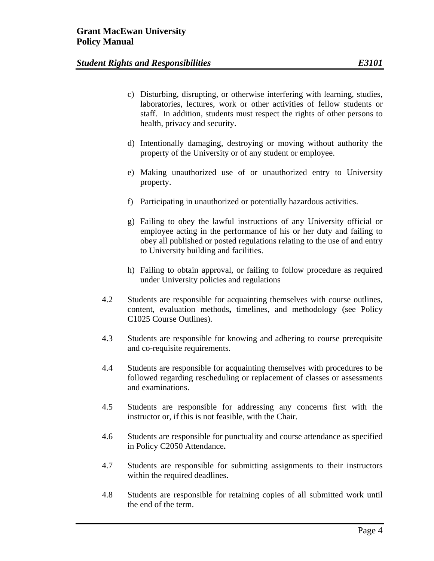- c) Disturbing, disrupting, or otherwise interfering with learning, studies, laboratories, lectures, work or other activities of fellow students or staff. In addition, students must respect the rights of other persons to health, privacy and security.
- d) Intentionally damaging, destroying or moving without authority the property of the University or of any student or employee.
- e) Making unauthorized use of or unauthorized entry to University property.
- f) Participating in unauthorized or potentially hazardous activities.
- g) Failing to obey the lawful instructions of any University official or employee acting in the performance of his or her duty and failing to obey all published or posted regulations relating to the use of and entry to University building and facilities.
- h) Failing to obtain approval, or failing to follow procedure as required under University policies and regulations
- 4.2 Students are responsible for acquainting themselves with course outlines, content, evaluation methods**,** timelines, and methodology (see Policy C1025 Course Outlines).
- 4.3 Students are responsible for knowing and adhering to course prerequisite and co-requisite requirements.
- 4.4 Students are responsible for acquainting themselves with procedures to be followed regarding rescheduling or replacement of classes or assessments and examinations.
- 4.5 Students are responsible for addressing any concerns first with the instructor or, if this is not feasible, with the Chair.
- 4.6 Students are responsible for punctuality and course attendance as specified in Policy C2050 Attendance**.**
- 4.7 Students are responsible for submitting assignments to their instructors within the required deadlines.
- 4.8 Students are responsible for retaining copies of all submitted work until the end of the term.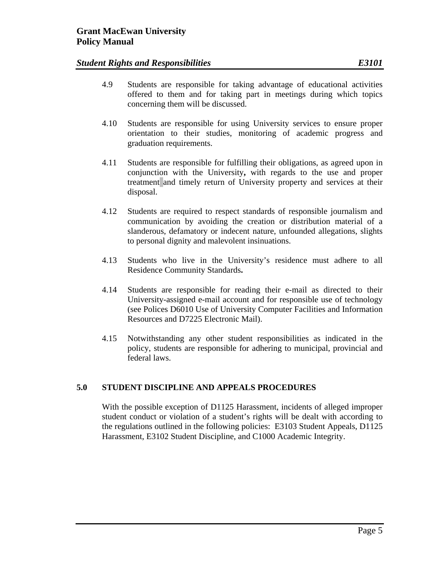- 4.9 Students are responsible for taking advantage of educational activities offered to them and for taking part in meetings during which topics concerning them will be discussed.
- 4.10 Students are responsible for using University services to ensure proper orientation to their studies, monitoring of academic progress and graduation requirements.
- 4.11 Students are responsible for fulfilling their obligations, as agreed upon in conjunction with the University**,** with regards to the use and proper treatment and timely return of University property and services at their disposal.
- 4.12 Students are required to respect standards of responsible journalism and communication by avoiding the creation or distribution material of a slanderous, defamatory or indecent nature, unfounded allegations, slights to personal dignity and malevolent insinuations.
- 4.13 Students who live in the University's residence must adhere to all Residence Community Standards**.**
- 4.14 Students are responsible for reading their e-mail as directed to their University-assigned e-mail account and for responsible use of technology (see Polices D6010 Use of University Computer Facilities and Information Resources and D7225 Electronic Mail).
- 4.15 Notwithstanding any other student responsibilities as indicated in the policy, students are responsible for adhering to municipal, provincial and federal laws.

## **5.0 STUDENT DISCIPLINE AND APPEALS PROCEDURES**

With the possible exception of D1125 Harassment, incidents of alleged improper student conduct or violation of a student's rights will be dealt with according to the regulations outlined in the following policies: E3103 Student Appeals, D1125 Harassment, E3102 Student Discipline, and C1000 Academic Integrity.